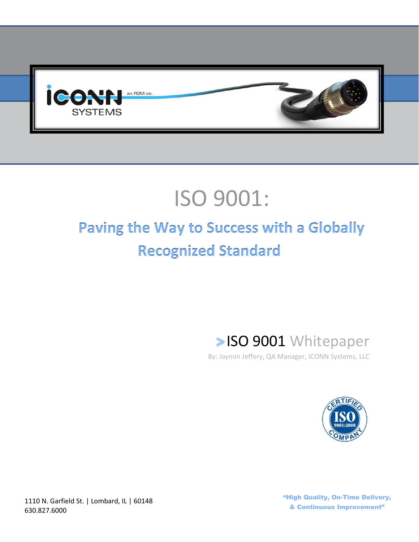

# ISO 9001:

# **Paving the Way to Success with a Globally Recognized Standard**

**SISO 9001 Whitepaper** 

By: Jaymin Jeffery, QA Manager, iCONN Systems, LLC



1110 N. Garfield St. | Lombard, IL | 60148 630.827.6000

"High Quality, On-Time Delivery, & Continuous Improvement"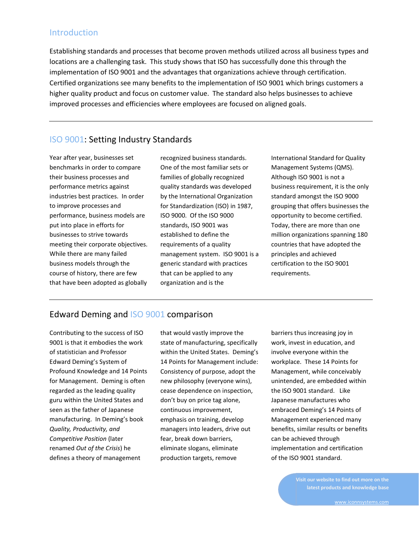#### **Introduction**

Establishing standards and processes that become proven methods utilized across all business types and locations are a challenging task. This study shows that ISO has successfully done this through the implementation of ISO 9001 and the advantages that organizations achieve through certification. Certified organizations see many benefits to the implementation of ISO 9001 which brings customers a higher quality product and focus on customer value. The standard also helps businesses to achieve improved processes and efficiencies where employees are focused on aligned goals.

#### ISO 9001: Setting Industry Standards

Year after year, businesses set benchmarks in order to compare their business processes and performance metrics against industries best practices. In order to improve processes and performance, business models are put into place in efforts for businesses to strive towards meeting their corporate objectives. While there are many failed business models through the course of history, there are few that have been adopted as globally

recognized business standards. One of the most familiar sets or families of globally recognized quality standards was developed by the International Organization for Standardization (ISO) in 1987, ISO 9000. Of the ISO 9000 standards, ISO 9001 was established to define the requirements of a quality management system. ISO 9001 is a generic standard with practices that can be applied to any organization and is the

International Standard for Quality Management Systems (QMS). Although ISO 9001 is not a business requirement, it is the only standard amongst the ISO 9000 grouping that offers businesses the opportunity to become certified. Today, there are more than one million organizations spanning 180 countries that have adopted the principles and achieved certification to the ISO 9001 requirements.

#### Edward Deming and ISO 9001 comparison

Contributing to the success of ISO 9001 is that it embodies the work of statistician and Professor Edward Deming's System of Profound Knowledge and 14 Points for Management. Deming is often regarded as the leading quality guru within the United States and seen as the father of Japanese manufacturing. In Deming's book *Quality, Productivity, and Competitive Position* (later renamed *Out of the Crisis*) he defines a theory of management

that would vastly improve the state of manufacturing, specifically within the United States. Deming's 14 Points for Management include: Consistency of purpose, adopt the new philosophy (everyone wins), cease dependence on inspection, don't buy on price tag alone, continuous improvement, emphasis on training, develop managers into leaders, drive out fear, break down barriers, eliminate slogans, eliminate production targets, remove

barriers thus increasing joy in work, invest in education, and involve everyone within the workplace. These 14 Points for Management, while conceivably unintended, are embedded within the ISO 9001 standard. Like Japanese manufactures who embraced Deming's 14 Points of Management experienced many benefits, similar results or benefits can be achieved through implementation and certification of the ISO 9001 standard.

> **Visit our website to find out more on the latest products and knowledge base**

> > [www.iconnsystems.com](http://www.iconnsystems.com/)